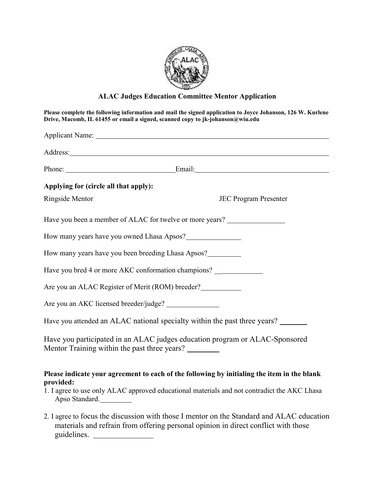

## **ALAC Judges Education Committee Mentor Application**

| Please complete the following information and mail the signed application to Joyce Johanson, 126 W. Kurlene<br>Drive, Macomb, IL 61455 or email a signed, scanned copy to jk-johanson@wiu.edu<br>Applicant Name: 1988. Applicant Name: 1988. Applicant Name: 1988. Applicant Name: 1988. Applicant Name: 1988. Applicant Name: 1988. Applicant Name: 1988. Applicant Name: 1988. Applicant Name: 1988. Applicant Name: 1988. Ap |                                                                                                                                                                                            |                                       |                             |
|---------------------------------------------------------------------------------------------------------------------------------------------------------------------------------------------------------------------------------------------------------------------------------------------------------------------------------------------------------------------------------------------------------------------------------|--------------------------------------------------------------------------------------------------------------------------------------------------------------------------------------------|---------------------------------------|-----------------------------|
|                                                                                                                                                                                                                                                                                                                                                                                                                                 |                                                                                                                                                                                            |                                       | Phone: <u>Email:</u> Email: |
|                                                                                                                                                                                                                                                                                                                                                                                                                                 |                                                                                                                                                                                            | Applying for (circle all that apply): |                             |
| Ringside Mentor                                                                                                                                                                                                                                                                                                                                                                                                                 | <b>JEC Program Presenter</b>                                                                                                                                                               |                                       |                             |
| Have you been a member of ALAC for twelve or more years?                                                                                                                                                                                                                                                                                                                                                                        |                                                                                                                                                                                            |                                       |                             |
| How many years have you owned Lhasa Apsos?                                                                                                                                                                                                                                                                                                                                                                                      |                                                                                                                                                                                            |                                       |                             |
| How many years have you been breeding Lhasa Apsos?                                                                                                                                                                                                                                                                                                                                                                              |                                                                                                                                                                                            |                                       |                             |
| Have you bred 4 or more AKC conformation champions? ____________________________                                                                                                                                                                                                                                                                                                                                                |                                                                                                                                                                                            |                                       |                             |
| Are you an ALAC Register of Merit (ROM) breeder?                                                                                                                                                                                                                                                                                                                                                                                |                                                                                                                                                                                            |                                       |                             |
|                                                                                                                                                                                                                                                                                                                                                                                                                                 |                                                                                                                                                                                            |                                       |                             |
| Have you attended an ALAC national specialty within the past three years? ______                                                                                                                                                                                                                                                                                                                                                |                                                                                                                                                                                            |                                       |                             |
| Have you participated in an ALAC judges education program or ALAC-Sponsored<br>Mentor Training within the past three years?                                                                                                                                                                                                                                                                                                     |                                                                                                                                                                                            |                                       |                             |
| provided:<br>Apso Standard.                                                                                                                                                                                                                                                                                                                                                                                                     | Please indicate your agreement to each of the following by initialing the item in the blank<br>1. I agree to use only ALAC approved educational materials and not contradict the AKC Lhasa |                                       |                             |

2. I agree to focus the discussion with those I mentor on the Standard and ALAC education materials and refrain from offering personal opinion in direct conflict with those guidelines.